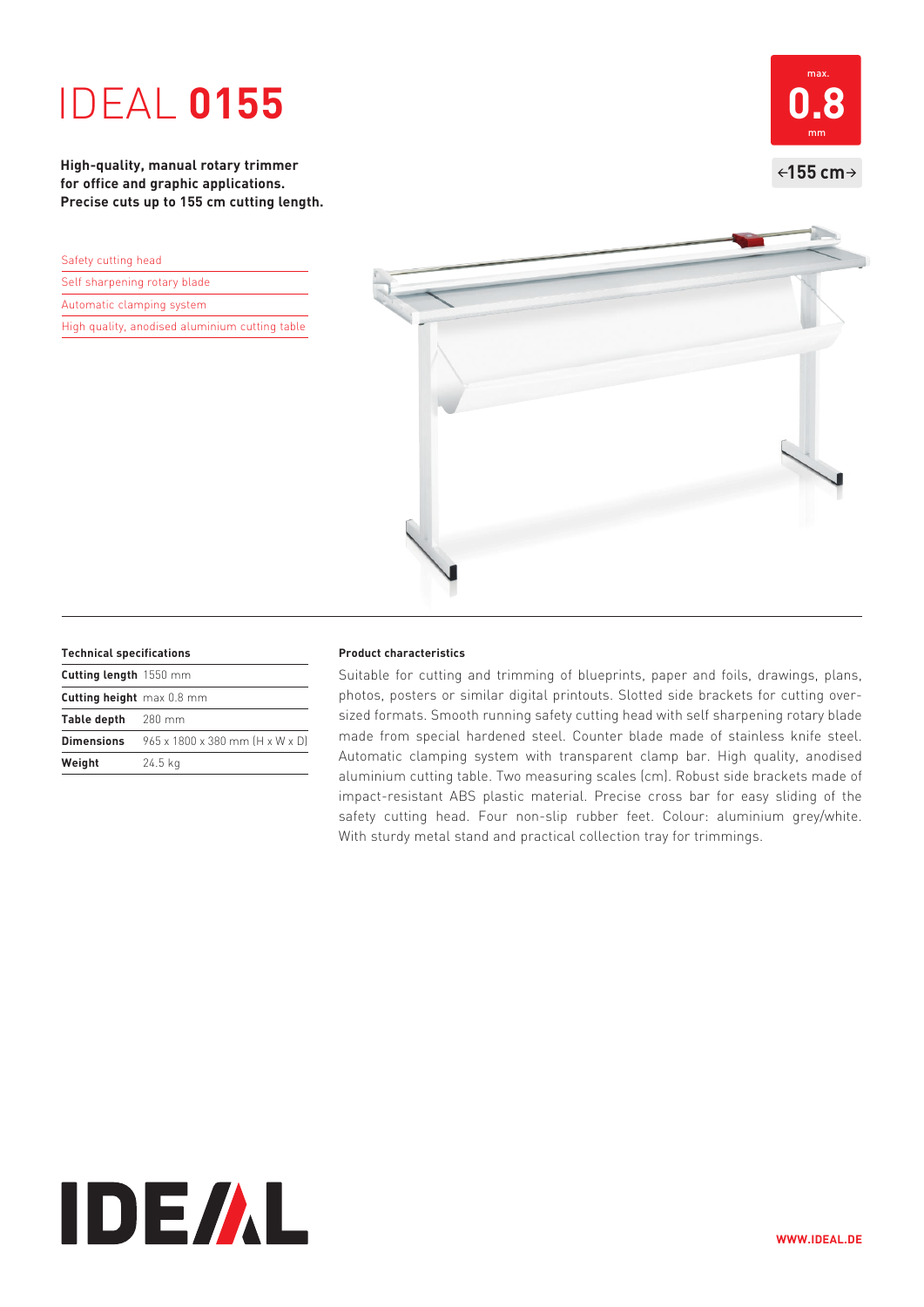# IDEAL **0155**

**High-quality, manual rotary trimmer for office and graphic applications. Precise cuts up to 155 cm cutting length.** 

| Safety cutting head                            |  |  |
|------------------------------------------------|--|--|
| Self sharpening rotary blade                   |  |  |
| Automatic clamping system                      |  |  |
| High quality, anodised aluminium cutting table |  |  |





### **Technical specifications**

| Cutting length 1550 mm    |                                 |
|---------------------------|---------------------------------|
| Cutting height max 0.8 mm |                                 |
| Table depth 280 mm        |                                 |
| Dimensions                | 965 x 1800 x 380 mm [H x W x D] |
| Weight                    | $24.5$ kg                       |

### **Product characteristics**

Suitable for cutting and trimming of blueprints, paper and foils, drawings, plans, photos, posters or similar digital printouts. Slotted side brackets for cutting oversized formats. Smooth running safety cutting head with self sharpening rotary blade made from special hardened steel. Counter blade made of stainless knife steel. Automatic clamping system with transparent clamp bar. High quality, anodised aluminium cutting table. Two measuring scales (cm). Robust side brackets made of impact-resistant ABS plastic material. Precise cross bar for easy sliding of the safety cutting head. Four non-slip rubber feet. Colour: aluminium grey/white. With sturdy metal stand and practical collection tray for trimmings.